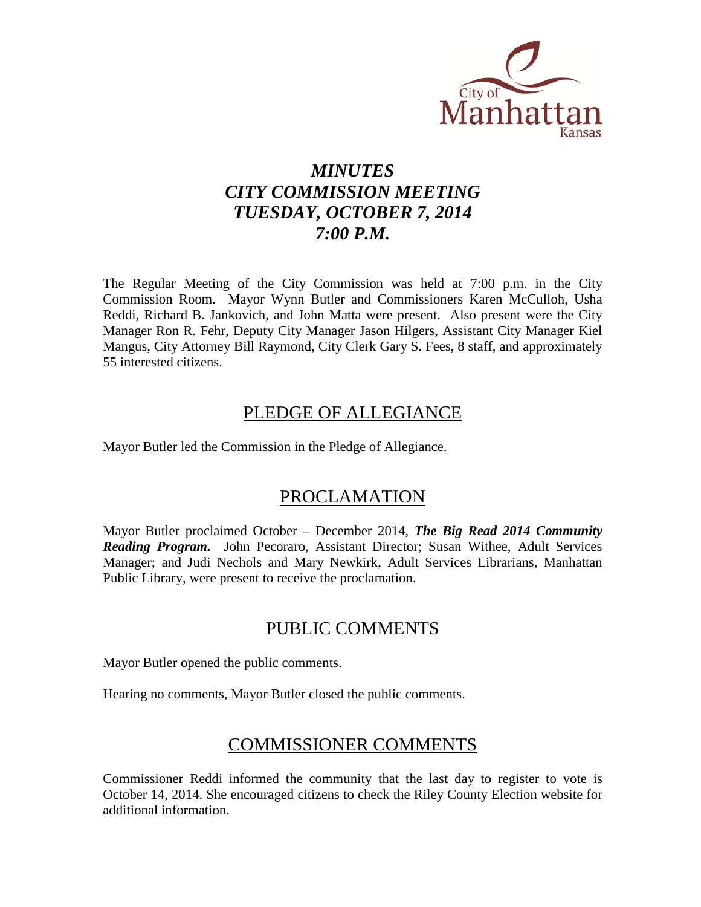

# *MINUTES CITY COMMISSION MEETING TUESDAY, OCTOBER 7, 2014 7:00 P.M.*

The Regular Meeting of the City Commission was held at 7:00 p.m. in the City Commission Room. Mayor Wynn Butler and Commissioners Karen McCulloh, Usha Reddi, Richard B. Jankovich, and John Matta were present. Also present were the City Manager Ron R. Fehr, Deputy City Manager Jason Hilgers, Assistant City Manager Kiel Mangus, City Attorney Bill Raymond, City Clerk Gary S. Fees, 8 staff, and approximately 55 interested citizens.

## PLEDGE OF ALLEGIANCE

Mayor Butler led the Commission in the Pledge of Allegiance.

# PROCLAMATION

Mayor Butler proclaimed October – December 2014, *The Big Read 2014 Community Reading Program.* John Pecoraro, Assistant Director; Susan Withee, Adult Services Manager; and Judi Nechols and Mary Newkirk, Adult Services Librarians, Manhattan Public Library, were present to receive the proclamation.

# PUBLIC COMMENTS

Mayor Butler opened the public comments.

Hearing no comments, Mayor Butler closed the public comments.

# COMMISSIONER COMMENTS

Commissioner Reddi informed the community that the last day to register to vote is October 14, 2014. She encouraged citizens to check the Riley County Election website for additional information.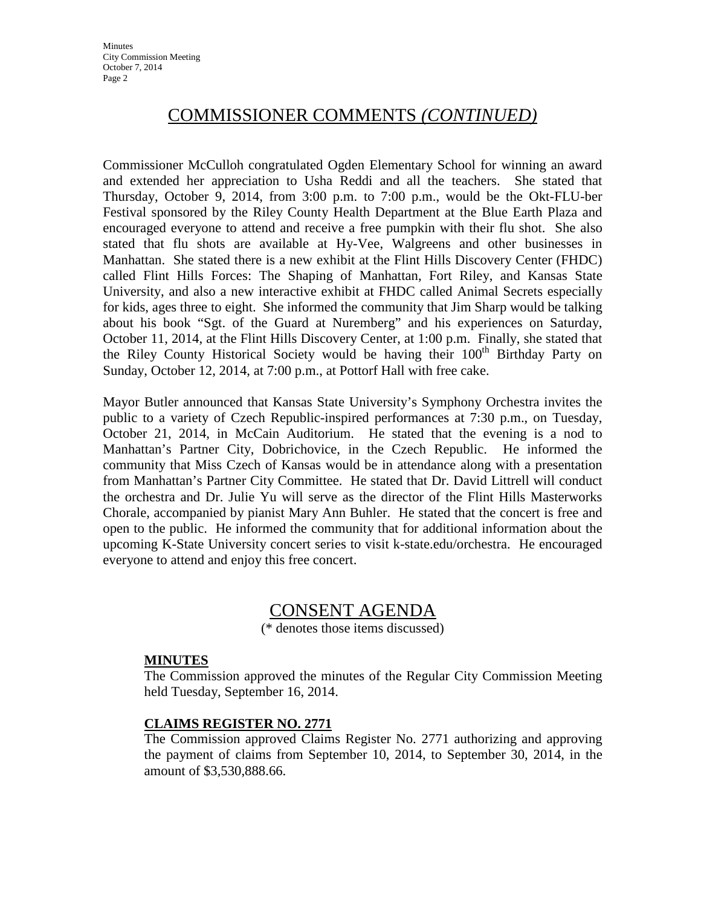# COMMISSIONER COMMENTS *(CONTINUED)*

Commissioner McCulloh congratulated Ogden Elementary School for winning an award and extended her appreciation to Usha Reddi and all the teachers. She stated that Thursday, October 9, 2014, from 3:00 p.m. to 7:00 p.m., would be the Okt-FLU-ber Festival sponsored by the Riley County Health Department at the Blue Earth Plaza and encouraged everyone to attend and receive a free pumpkin with their flu shot. She also stated that flu shots are available at Hy-Vee, Walgreens and other businesses in Manhattan. She stated there is a new exhibit at the Flint Hills Discovery Center (FHDC) called Flint Hills Forces: The Shaping of Manhattan, Fort Riley, and Kansas State University, and also a new interactive exhibit at FHDC called Animal Secrets especially for kids, ages three to eight. She informed the community that Jim Sharp would be talking about his book "Sgt. of the Guard at Nuremberg" and his experiences on Saturday, October 11, 2014, at the Flint Hills Discovery Center, at 1:00 p.m. Finally, she stated that the Riley County Historical Society would be having their  $100<sup>th</sup>$  Birthday Party on Sunday, October 12, 2014, at 7:00 p.m., at Pottorf Hall with free cake.

Mayor Butler announced that Kansas State University's Symphony Orchestra invites the public to a variety of Czech Republic-inspired performances at 7:30 p.m., on Tuesday, October 21, 2014, in McCain Auditorium. He stated that the evening is a nod to Manhattan's Partner City, Dobrichovice, in the Czech Republic. He informed the community that Miss Czech of Kansas would be in attendance along with a presentation from Manhattan's Partner City Committee. He stated that Dr. David Littrell will conduct the orchestra and Dr. Julie Yu will serve as the director of the Flint Hills Masterworks Chorale, accompanied by pianist Mary Ann Buhler. He stated that the concert is free and open to the public. He informed the community that for additional information about the upcoming K-State University concert series to visit k-state.edu/orchestra. He encouraged everyone to attend and enjoy this free concert.

### CONSENT AGENDA

(\* denotes those items discussed)

#### **MINUTES**

The Commission approved the minutes of the Regular City Commission Meeting held Tuesday, September 16, 2014.

### **CLAIMS REGISTER NO. 2771**

The Commission approved Claims Register No. 2771 authorizing and approving the payment of claims from September 10, 2014, to September 30, 2014, in the amount of \$3,530,888.66.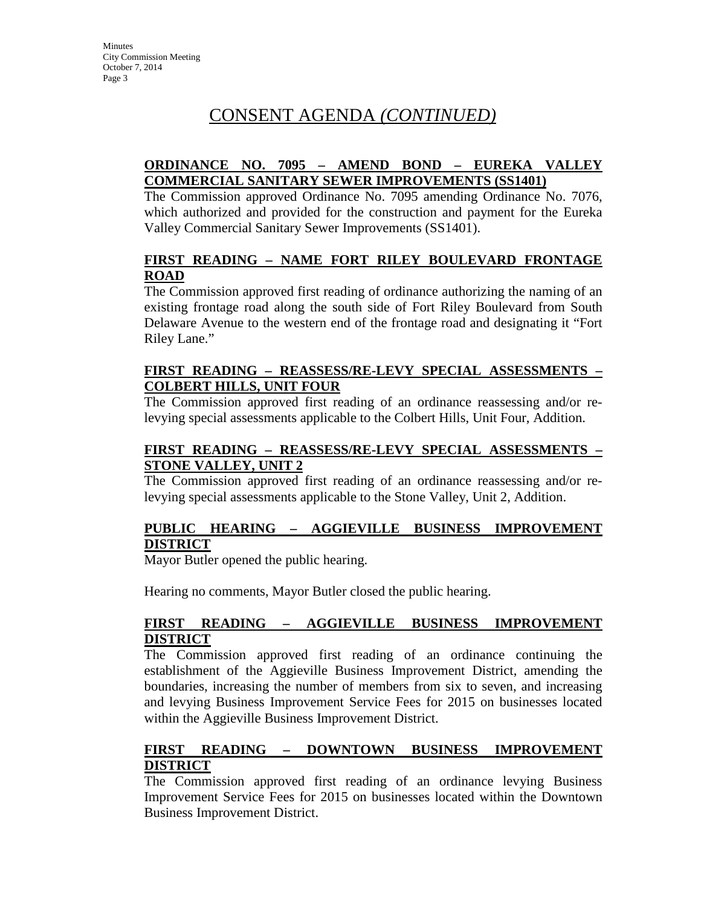# CONSENT AGENDA *(CONTINUED)*

### **ORDINANCE NO. 7095 – AMEND BOND – EUREKA VALLEY COMMERCIAL SANITARY SEWER IMPROVEMENTS (SS1401)**

The Commission approved Ordinance No. 7095 amending Ordinance No. 7076, which authorized and provided for the construction and payment for the Eureka Valley Commercial Sanitary Sewer Improvements (SS1401).

### **FIRST READING – NAME FORT RILEY BOULEVARD FRONTAGE ROAD**

The Commission approved first reading of ordinance authorizing the naming of an existing frontage road along the south side of Fort Riley Boulevard from South Delaware Avenue to the western end of the frontage road and designating it "Fort Riley Lane."

### **FIRST READING – REASSESS/RE-LEVY SPECIAL ASSESSMENTS – COLBERT HILLS, UNIT FOUR**

The Commission approved first reading of an ordinance reassessing and/or relevying special assessments applicable to the Colbert Hills, Unit Four, Addition.

### **FIRST READING – REASSESS/RE-LEVY SPECIAL ASSESSMENTS – STONE VALLEY, UNIT 2**

The Commission approved first reading of an ordinance reassessing and/or relevying special assessments applicable to the Stone Valley, Unit 2, Addition.

### **PUBLIC HEARING – AGGIEVILLE BUSINESS IMPROVEMENT DISTRICT**

Mayor Butler opened the public hearing.

Hearing no comments, Mayor Butler closed the public hearing.

### **FIRST READING – AGGIEVILLE BUSINESS IMPROVEMENT DISTRICT**

The Commission approved first reading of an ordinance continuing the establishment of the Aggieville Business Improvement District, amending the boundaries, increasing the number of members from six to seven, and increasing and levying Business Improvement Service Fees for 2015 on businesses located within the Aggieville Business Improvement District.

### **FIRST READING – DOWNTOWN BUSINESS IMPROVEMENT DISTRICT**

The Commission approved first reading of an ordinance levying Business Improvement Service Fees for 2015 on businesses located within the Downtown Business Improvement District.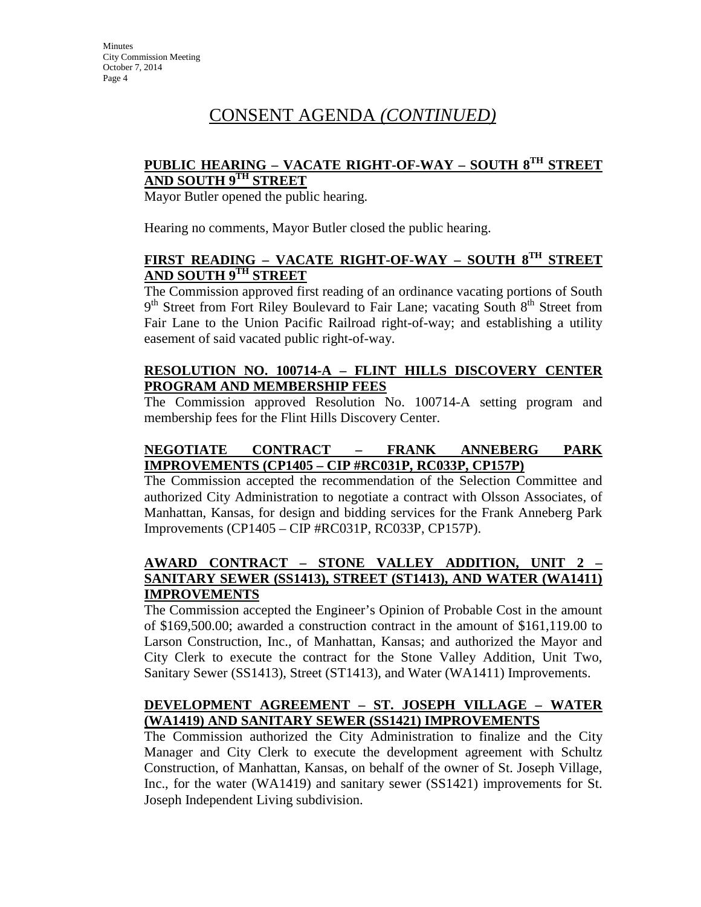# CONSENT AGENDA *(CONTINUED)*

### **PUBLIC HEARING – VACATE RIGHT-OF-WAY – SOUTH 8TH STREET AND SOUTH 9TH STREET**

Mayor Butler opened the public hearing.

Hearing no comments, Mayor Butler closed the public hearing.

### **FIRST READING – VACATE RIGHT-OF-WAY – SOUTH 8TH STREET AND SOUTH 9TH STREET**

The Commission approved first reading of an ordinance vacating portions of South  $9<sup>th</sup>$  Street from Fort Riley Boulevard to Fair Lane; vacating South  $8<sup>th</sup>$  Street from Fair Lane to the Union Pacific Railroad right-of-way; and establishing a utility easement of said vacated public right-of-way.

### **RESOLUTION NO. 100714-A – FLINT HILLS DISCOVERY CENTER PROGRAM AND MEMBERSHIP FEES**

The Commission approved Resolution No. 100714-A setting program and membership fees for the Flint Hills Discovery Center.

### **NEGOTIATE CONTRACT – FRANK ANNEBERG PARK IMPROVEMENTS (CP1405 – CIP #RC031P, RC033P, CP157P)**

The Commission accepted the recommendation of the Selection Committee and authorized City Administration to negotiate a contract with Olsson Associates, of Manhattan, Kansas, for design and bidding services for the Frank Anneberg Park Improvements (CP1405 – CIP #RC031P, RC033P, CP157P).

### **AWARD CONTRACT – STONE VALLEY ADDITION, UNIT 2 – SANITARY SEWER (SS1413), STREET (ST1413), AND WATER (WA1411) IMPROVEMENTS**

The Commission accepted the Engineer's Opinion of Probable Cost in the amount of \$169,500.00; awarded a construction contract in the amount of \$161,119.00 to Larson Construction, Inc., of Manhattan, Kansas; and authorized the Mayor and City Clerk to execute the contract for the Stone Valley Addition, Unit Two, Sanitary Sewer (SS1413), Street (ST1413), and Water (WA1411) Improvements.

### **DEVELOPMENT AGREEMENT – ST. JOSEPH VILLAGE – WATER (WA1419) AND SANITARY SEWER (SS1421) IMPROVEMENTS**

The Commission authorized the City Administration to finalize and the City Manager and City Clerk to execute the development agreement with Schultz Construction, of Manhattan, Kansas, on behalf of the owner of St. Joseph Village, Inc., for the water (WA1419) and sanitary sewer (SS1421) improvements for St. Joseph Independent Living subdivision.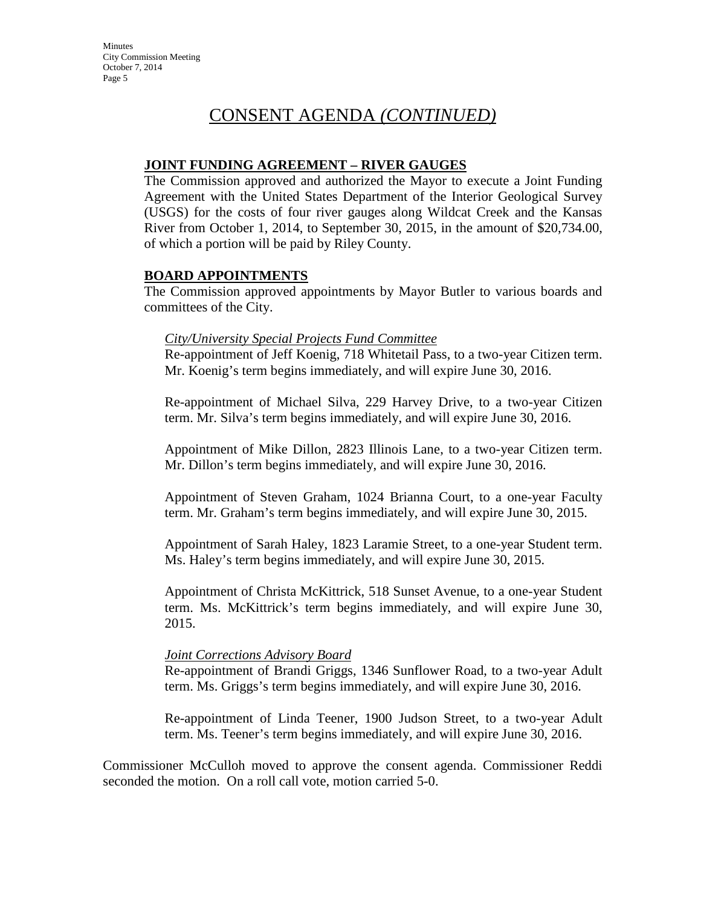# CONSENT AGENDA *(CONTINUED)*

### **JOINT FUNDING AGREEMENT – RIVER GAUGES**

The Commission approved and authorized the Mayor to execute a Joint Funding Agreement with the United States Department of the Interior Geological Survey (USGS) for the costs of four river gauges along Wildcat Creek and the Kansas River from October 1, 2014, to September 30, 2015, in the amount of \$20,734.00, of which a portion will be paid by Riley County.

### **BOARD APPOINTMENTS**

The Commission approved appointments by Mayor Butler to various boards and committees of the City.

#### *City/University Special Projects Fund Committee*

Re-appointment of Jeff Koenig, 718 Whitetail Pass, to a two-year Citizen term. Mr. Koenig's term begins immediately, and will expire June 30, 2016.

Re-appointment of Michael Silva, 229 Harvey Drive, to a two-year Citizen term. Mr. Silva's term begins immediately, and will expire June 30, 2016.

Appointment of Mike Dillon, 2823 Illinois Lane, to a two-year Citizen term. Mr. Dillon's term begins immediately, and will expire June 30, 2016.

Appointment of Steven Graham, 1024 Brianna Court, to a one-year Faculty term. Mr. Graham's term begins immediately, and will expire June 30, 2015.

Appointment of Sarah Haley, 1823 Laramie Street, to a one-year Student term. Ms. Haley's term begins immediately, and will expire June 30, 2015.

Appointment of Christa McKittrick, 518 Sunset Avenue, to a one-year Student term. Ms. McKittrick's term begins immediately, and will expire June 30, 2015.

#### *Joint Corrections Advisory Board*

Re-appointment of Brandi Griggs, 1346 Sunflower Road, to a two-year Adult term. Ms. Griggs's term begins immediately, and will expire June 30, 2016.

Re-appointment of Linda Teener, 1900 Judson Street, to a two-year Adult term. Ms. Teener's term begins immediately, and will expire June 30, 2016.

Commissioner McCulloh moved to approve the consent agenda. Commissioner Reddi seconded the motion. On a roll call vote, motion carried 5-0.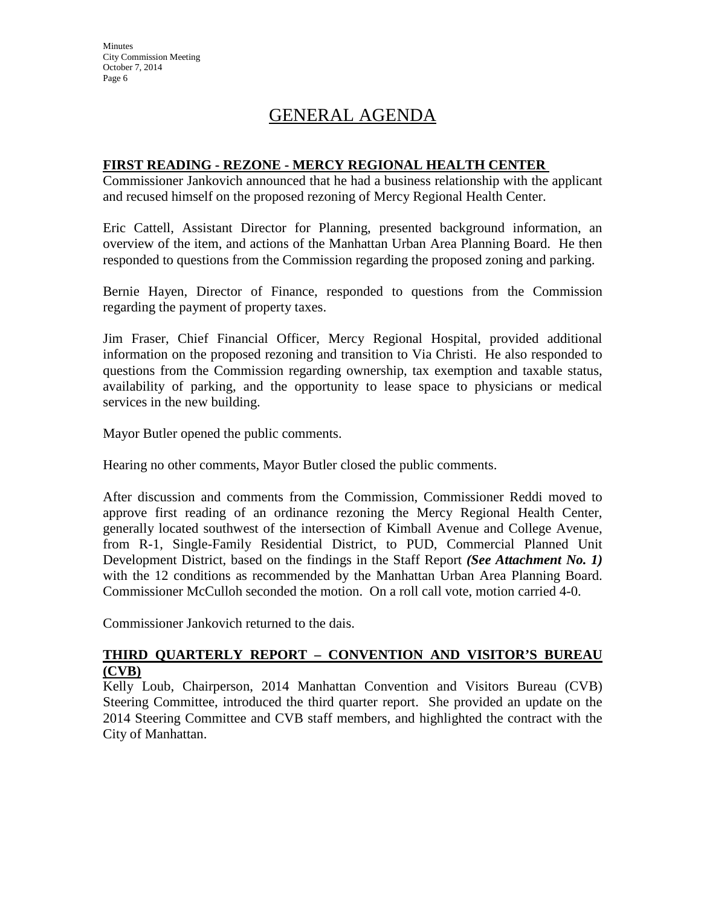# GENERAL AGENDA

### **FIRST READING - REZONE - MERCY REGIONAL HEALTH CENTER**

Commissioner Jankovich announced that he had a business relationship with the applicant and recused himself on the proposed rezoning of Mercy Regional Health Center.

Eric Cattell, Assistant Director for Planning, presented background information, an overview of the item, and actions of the Manhattan Urban Area Planning Board. He then responded to questions from the Commission regarding the proposed zoning and parking.

Bernie Hayen, Director of Finance, responded to questions from the Commission regarding the payment of property taxes.

Jim Fraser, Chief Financial Officer, Mercy Regional Hospital, provided additional information on the proposed rezoning and transition to Via Christi. He also responded to questions from the Commission regarding ownership, tax exemption and taxable status, availability of parking, and the opportunity to lease space to physicians or medical services in the new building.

Mayor Butler opened the public comments.

Hearing no other comments, Mayor Butler closed the public comments.

After discussion and comments from the Commission, Commissioner Reddi moved to approve first reading of an ordinance rezoning the Mercy Regional Health Center, generally located southwest of the intersection of Kimball Avenue and College Avenue, from R-1, Single-Family Residential District, to PUD, Commercial Planned Unit Development District, based on the findings in the Staff Report *(See Attachment No. 1)*  with the 12 conditions as recommended by the Manhattan Urban Area Planning Board. Commissioner McCulloh seconded the motion. On a roll call vote, motion carried 4-0.

Commissioner Jankovich returned to the dais.

### **THIRD QUARTERLY REPORT – CONVENTION AND VISITOR'S BUREAU (CVB)**

Kelly Loub, Chairperson, 2014 Manhattan Convention and Visitors Bureau (CVB) Steering Committee, introduced the third quarter report. She provided an update on the 2014 Steering Committee and CVB staff members, and highlighted the contract with the City of Manhattan.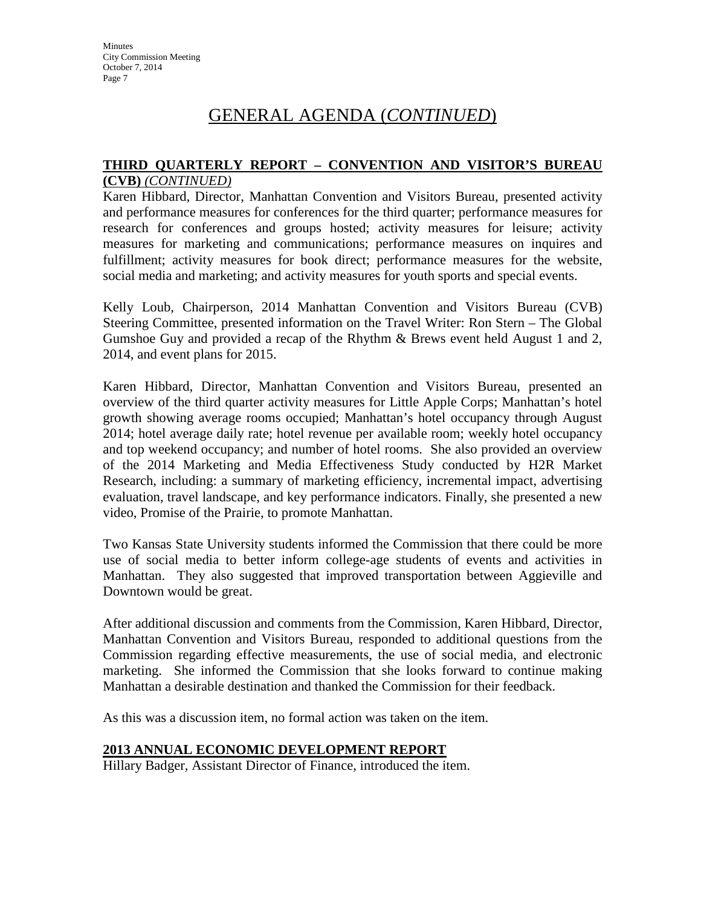# GENERAL AGENDA (*CONTINUED*)

#### **THIRD QUARTERLY REPORT – CONVENTION AND VISITOR'S BUREAU (CVB)** *(CONTINUED)*

Karen Hibbard, Director, Manhattan Convention and Visitors Bureau, presented activity and performance measures for conferences for the third quarter; performance measures for research for conferences and groups hosted; activity measures for leisure; activity measures for marketing and communications; performance measures on inquires and fulfillment; activity measures for book direct; performance measures for the website, social media and marketing; and activity measures for youth sports and special events.

Kelly Loub, Chairperson, 2014 Manhattan Convention and Visitors Bureau (CVB) Steering Committee, presented information on the Travel Writer: Ron Stern – The Global Gumshoe Guy and provided a recap of the Rhythm & Brews event held August 1 and 2, 2014, and event plans for 2015.

Karen Hibbard, Director, Manhattan Convention and Visitors Bureau, presented an overview of the third quarter activity measures for Little Apple Corps; Manhattan's hotel growth showing average rooms occupied; Manhattan's hotel occupancy through August 2014; hotel average daily rate; hotel revenue per available room; weekly hotel occupancy and top weekend occupancy; and number of hotel rooms. She also provided an overview of the 2014 Marketing and Media Effectiveness Study conducted by H2R Market Research, including: a summary of marketing efficiency, incremental impact, advertising evaluation, travel landscape, and key performance indicators. Finally, she presented a new video, Promise of the Prairie, to promote Manhattan.

Two Kansas State University students informed the Commission that there could be more use of social media to better inform college-age students of events and activities in Manhattan. They also suggested that improved transportation between Aggieville and Downtown would be great.

After additional discussion and comments from the Commission, Karen Hibbard, Director, Manhattan Convention and Visitors Bureau, responded to additional questions from the Commission regarding effective measurements, the use of social media, and electronic marketing. She informed the Commission that she looks forward to continue making Manhattan a desirable destination and thanked the Commission for their feedback.

As this was a discussion item, no formal action was taken on the item.

### **2013 ANNUAL ECONOMIC DEVELOPMENT REPORT**

Hillary Badger, Assistant Director of Finance, introduced the item.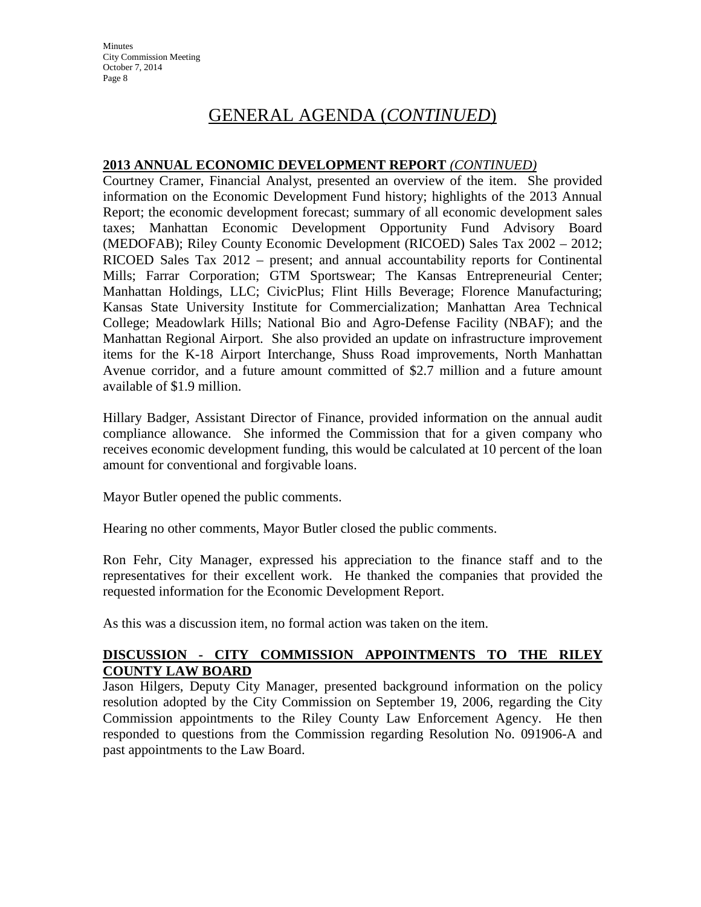# GENERAL AGENDA (*CONTINUED*)

### **2013 ANNUAL ECONOMIC DEVELOPMENT REPORT** *(CONTINUED)*

Courtney Cramer, Financial Analyst, presented an overview of the item. She provided information on the Economic Development Fund history; highlights of the 2013 Annual Report; the economic development forecast; summary of all economic development sales taxes; Manhattan Economic Development Opportunity Fund Advisory Board (MEDOFAB); Riley County Economic Development (RICOED) Sales Tax 2002 – 2012; RICOED Sales Tax 2012 – present; and annual accountability reports for Continental Mills; Farrar Corporation; GTM Sportswear; The Kansas Entrepreneurial Center; Manhattan Holdings, LLC; CivicPlus; Flint Hills Beverage; Florence Manufacturing; Kansas State University Institute for Commercialization; Manhattan Area Technical College; Meadowlark Hills; National Bio and Agro-Defense Facility (NBAF); and the Manhattan Regional Airport. She also provided an update on infrastructure improvement items for the K-18 Airport Interchange, Shuss Road improvements, North Manhattan Avenue corridor, and a future amount committed of \$2.7 million and a future amount available of \$1.9 million.

Hillary Badger, Assistant Director of Finance, provided information on the annual audit compliance allowance. She informed the Commission that for a given company who receives economic development funding, this would be calculated at 10 percent of the loan amount for conventional and forgivable loans.

Mayor Butler opened the public comments.

Hearing no other comments, Mayor Butler closed the public comments.

Ron Fehr, City Manager, expressed his appreciation to the finance staff and to the representatives for their excellent work. He thanked the companies that provided the requested information for the Economic Development Report.

As this was a discussion item, no formal action was taken on the item.

### **DISCUSSION - CITY COMMISSION APPOINTMENTS TO THE RILEY COUNTY LAW BOARD**

Jason Hilgers, Deputy City Manager, presented background information on the policy resolution adopted by the City Commission on September 19, 2006, regarding the City Commission appointments to the Riley County Law Enforcement Agency. He then responded to questions from the Commission regarding Resolution No. 091906-A and past appointments to the Law Board.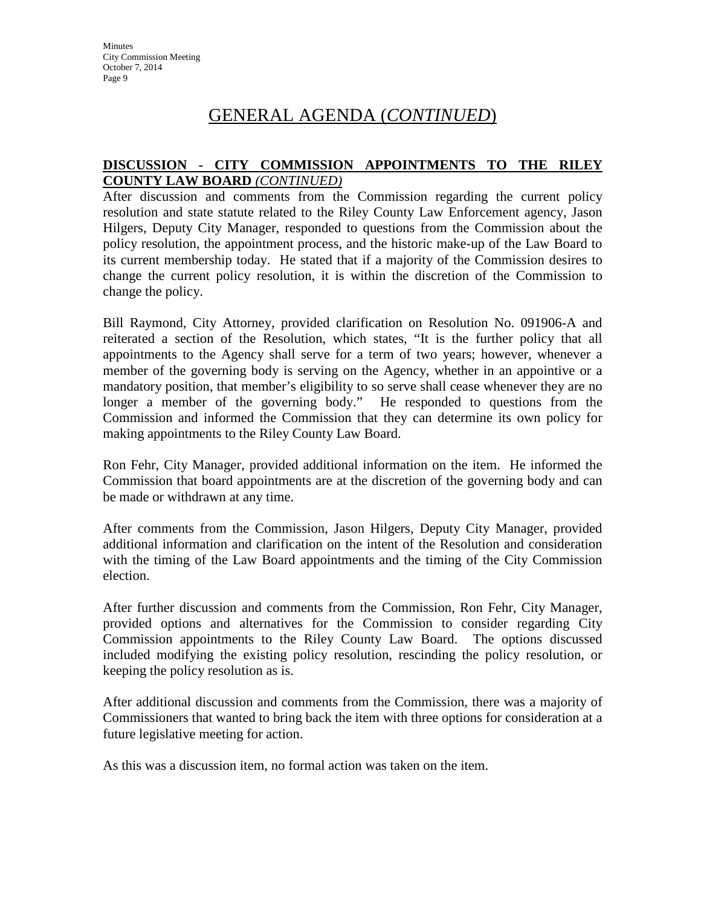# GENERAL AGENDA (*CONTINUED*)

### **DISCUSSION - CITY COMMISSION APPOINTMENTS TO THE RILEY COUNTY LAW BOARD** *(CONTINUED)*

After discussion and comments from the Commission regarding the current policy resolution and state statute related to the Riley County Law Enforcement agency, Jason Hilgers, Deputy City Manager, responded to questions from the Commission about the policy resolution, the appointment process, and the historic make-up of the Law Board to its current membership today. He stated that if a majority of the Commission desires to change the current policy resolution, it is within the discretion of the Commission to change the policy.

Bill Raymond, City Attorney, provided clarification on Resolution No. 091906-A and reiterated a section of the Resolution, which states, "It is the further policy that all appointments to the Agency shall serve for a term of two years; however, whenever a member of the governing body is serving on the Agency, whether in an appointive or a mandatory position, that member's eligibility to so serve shall cease whenever they are no longer a member of the governing body." He responded to questions from the Commission and informed the Commission that they can determine its own policy for making appointments to the Riley County Law Board.

Ron Fehr, City Manager, provided additional information on the item. He informed the Commission that board appointments are at the discretion of the governing body and can be made or withdrawn at any time.

After comments from the Commission, Jason Hilgers, Deputy City Manager, provided additional information and clarification on the intent of the Resolution and consideration with the timing of the Law Board appointments and the timing of the City Commission election.

After further discussion and comments from the Commission, Ron Fehr, City Manager, provided options and alternatives for the Commission to consider regarding City Commission appointments to the Riley County Law Board. The options discussed included modifying the existing policy resolution, rescinding the policy resolution, or keeping the policy resolution as is.

After additional discussion and comments from the Commission, there was a majority of Commissioners that wanted to bring back the item with three options for consideration at a future legislative meeting for action.

As this was a discussion item, no formal action was taken on the item.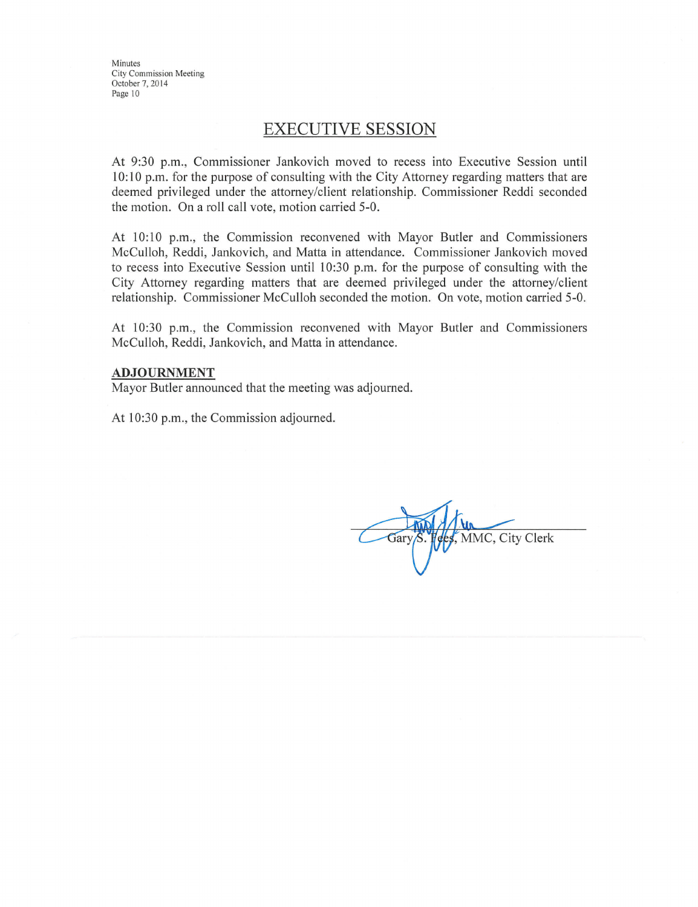### **EXECUTIVE SESSION**

At 9:30 p.m., Commissioner Jankovich moved to recess into Executive Session until 10.10 p.m. for the purpose of consulting with the City Attorney regarding matters that are deemed privileged under the attorney/client relationship. Commissioner Reddi seconded the motion. On a roll call vote, motion carried 5-0.

At 10:10 p.m., the Commission reconvened with Mayor Butler and Commissioners McCulloh, Reddi, Jankovich, and Matta in attendance. Commissioner Jankovich moved to recess into Executive Session until 10:30 p.m. for the purpose of consulting with the City Attorney regarding matters that are deemed privileged under the attorney/client relationship. Commissioner McCulloh seconded the motion. On vote, motion carried 5-0.

At 10:30 p.m., the Commission reconvened with Mayor Butler and Commissioners McCulloh, Reddi, Jankovich, and Matta in attendance.

#### **ADJOURNMENT**

Mayor Butler announced that the meeting was adjourned.

At 10:30 p.m., the Commission adjourned.

es, MMC, City Clerk Gary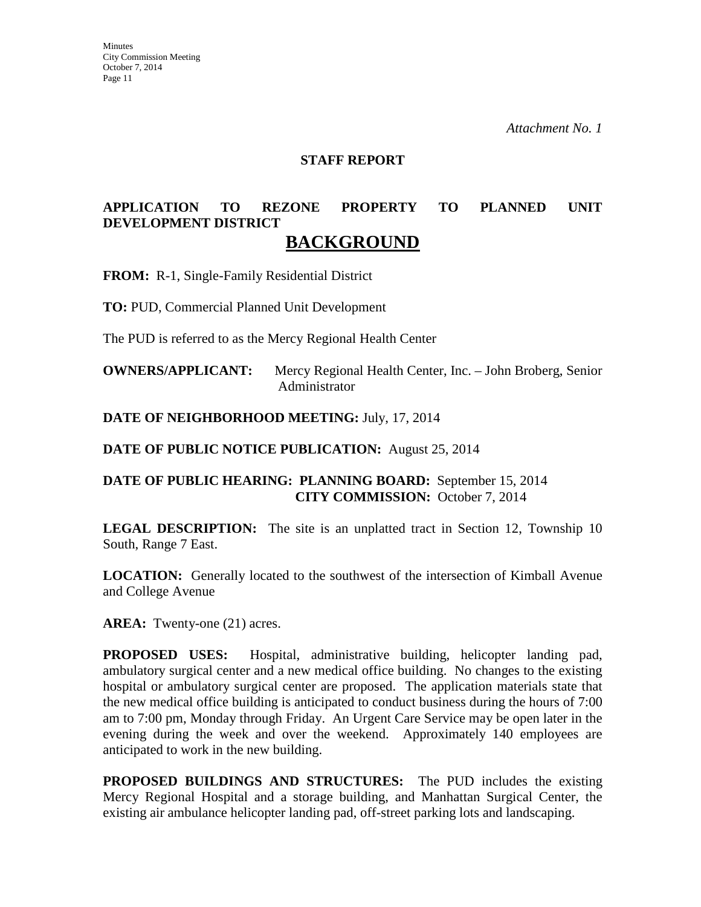#### **STAFF REPORT**

### **APPLICATION TO REZONE PROPERTY TO PLANNED UNIT DEVELOPMENT DISTRICT BACKGROUND**

**FROM:** R-1, Single-Family Residential District

**TO:** PUD, Commercial Planned Unit Development

The PUD is referred to as the Mercy Regional Health Center

**OWNERS/APPLICANT:** Mercy Regional Health Center, Inc. – John Broberg, Senior Administrator

**DATE OF NEIGHBORHOOD MEETING:** July, 17, 2014

**DATE OF PUBLIC NOTICE PUBLICATION:** August 25, 2014

### **DATE OF PUBLIC HEARING: PLANNING BOARD:** September 15, 2014 **CITY COMMISSION:** October 7, 2014

**LEGAL DESCRIPTION:** The site is an unplatted tract in Section 12, Township 10 South, Range 7 East.

**LOCATION:** Generally located to the southwest of the intersection of Kimball Avenue and College Avenue

AREA: Twenty-one (21) acres.

**PROPOSED USES:** Hospital, administrative building, helicopter landing pad, ambulatory surgical center and a new medical office building. No changes to the existing hospital or ambulatory surgical center are proposed. The application materials state that the new medical office building is anticipated to conduct business during the hours of 7:00 am to 7:00 pm, Monday through Friday. An Urgent Care Service may be open later in the evening during the week and over the weekend. Approximately 140 employees are anticipated to work in the new building.

**PROPOSED BUILDINGS AND STRUCTURES:** The PUD includes the existing Mercy Regional Hospital and a storage building, and Manhattan Surgical Center, the existing air ambulance helicopter landing pad, off-street parking lots and landscaping.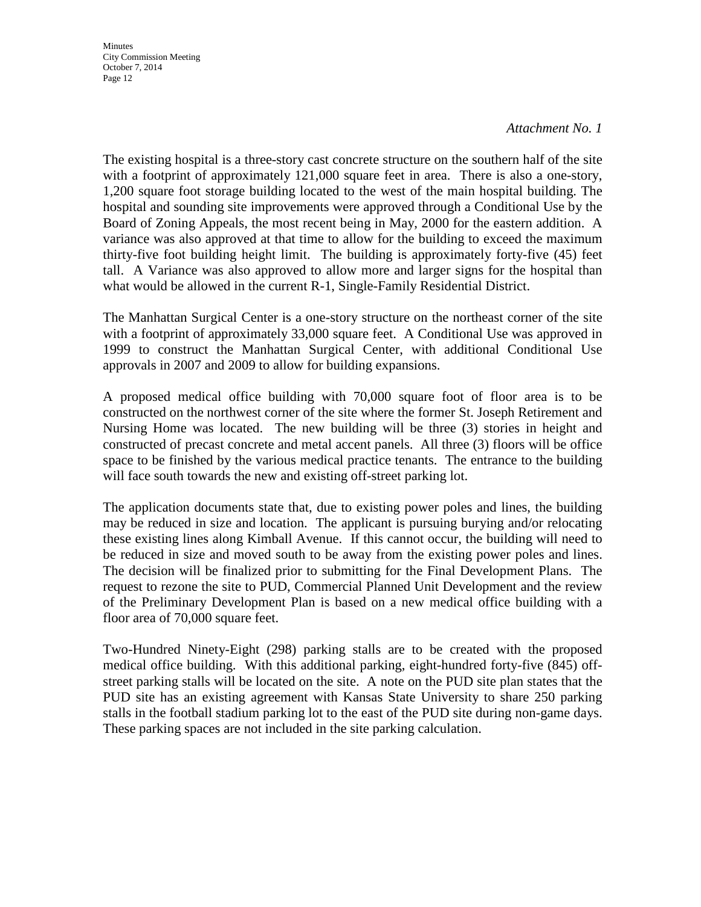#### *Attachment No. 1*

The existing hospital is a three-story cast concrete structure on the southern half of the site with a footprint of approximately 121,000 square feet in area. There is also a one-story, 1,200 square foot storage building located to the west of the main hospital building. The hospital and sounding site improvements were approved through a Conditional Use by the Board of Zoning Appeals, the most recent being in May, 2000 for the eastern addition. A variance was also approved at that time to allow for the building to exceed the maximum thirty-five foot building height limit. The building is approximately forty-five (45) feet tall. A Variance was also approved to allow more and larger signs for the hospital than what would be allowed in the current R-1, Single-Family Residential District.

The Manhattan Surgical Center is a one-story structure on the northeast corner of the site with a footprint of approximately 33,000 square feet. A Conditional Use was approved in 1999 to construct the Manhattan Surgical Center, with additional Conditional Use approvals in 2007 and 2009 to allow for building expansions.

A proposed medical office building with 70,000 square foot of floor area is to be constructed on the northwest corner of the site where the former St. Joseph Retirement and Nursing Home was located. The new building will be three (3) stories in height and constructed of precast concrete and metal accent panels. All three (3) floors will be office space to be finished by the various medical practice tenants. The entrance to the building will face south towards the new and existing off-street parking lot.

The application documents state that, due to existing power poles and lines, the building may be reduced in size and location. The applicant is pursuing burying and/or relocating these existing lines along Kimball Avenue. If this cannot occur, the building will need to be reduced in size and moved south to be away from the existing power poles and lines. The decision will be finalized prior to submitting for the Final Development Plans. The request to rezone the site to PUD, Commercial Planned Unit Development and the review of the Preliminary Development Plan is based on a new medical office building with a floor area of 70,000 square feet.

Two-Hundred Ninety-Eight (298) parking stalls are to be created with the proposed medical office building. With this additional parking, eight-hundred forty-five (845) offstreet parking stalls will be located on the site. A note on the PUD site plan states that the PUD site has an existing agreement with Kansas State University to share 250 parking stalls in the football stadium parking lot to the east of the PUD site during non-game days. These parking spaces are not included in the site parking calculation.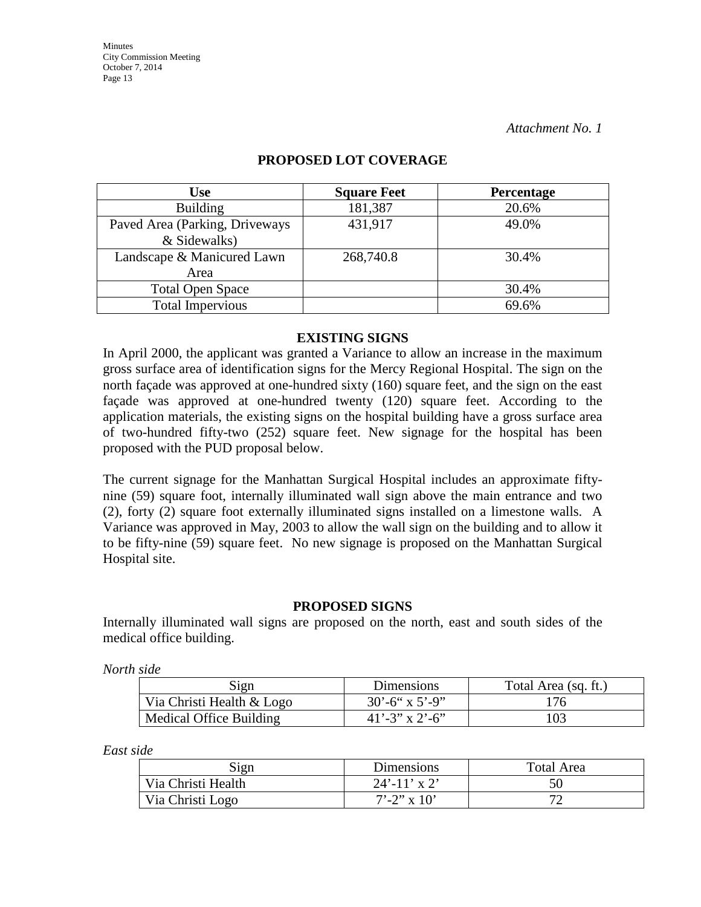| Use                            | <b>Square Feet</b> | Percentage |
|--------------------------------|--------------------|------------|
| <b>Building</b>                | 181,387            | 20.6%      |
| Paved Area (Parking, Driveways | 431,917            | 49.0%      |
| & Sidewalks)                   |                    |            |
| Landscape & Manicured Lawn     | 268,740.8          | 30.4%      |
| Area                           |                    |            |
| <b>Total Open Space</b>        |                    | 30.4%      |
| <b>Total Impervious</b>        |                    | 69.6%      |

### **PROPOSED LOT COVERAGE**

#### **EXISTING SIGNS**

In April 2000, the applicant was granted a Variance to allow an increase in the maximum gross surface area of identification signs for the Mercy Regional Hospital. The sign on the north façade was approved at one-hundred sixty (160) square feet, and the sign on the east façade was approved at one-hundred twenty (120) square feet. According to the application materials, the existing signs on the hospital building have a gross surface area of two-hundred fifty-two (252) square feet. New signage for the hospital has been proposed with the PUD proposal below.

The current signage for the Manhattan Surgical Hospital includes an approximate fiftynine (59) square foot, internally illuminated wall sign above the main entrance and two (2), forty (2) square foot externally illuminated signs installed on a limestone walls. A Variance was approved in May, 2003 to allow the wall sign on the building and to allow it to be fifty-nine (59) square feet. No new signage is proposed on the Manhattan Surgical Hospital site.

#### **PROPOSED SIGNS**

Internally illuminated wall signs are proposed on the north, east and south sides of the medical office building.

*North side*

| Sign                      | <b>Dimensions</b>          | Total Area (sq. ft.) |
|---------------------------|----------------------------|----------------------|
| Via Christi Health & Logo | $30^{\circ} - 6$ " x 5'-9" | 176                  |
| Medical Office Building   | $41' - 3''$ x 2'-6"        | 103                  |

*East side*

| Sign               | <b>Dimensions</b> | Total Area |
|--------------------|-------------------|------------|
| Via Christi Health | $24'$ -11' x 2'   | 50         |
| Via Christi Logo   | $7'$ -2" x 10'    |            |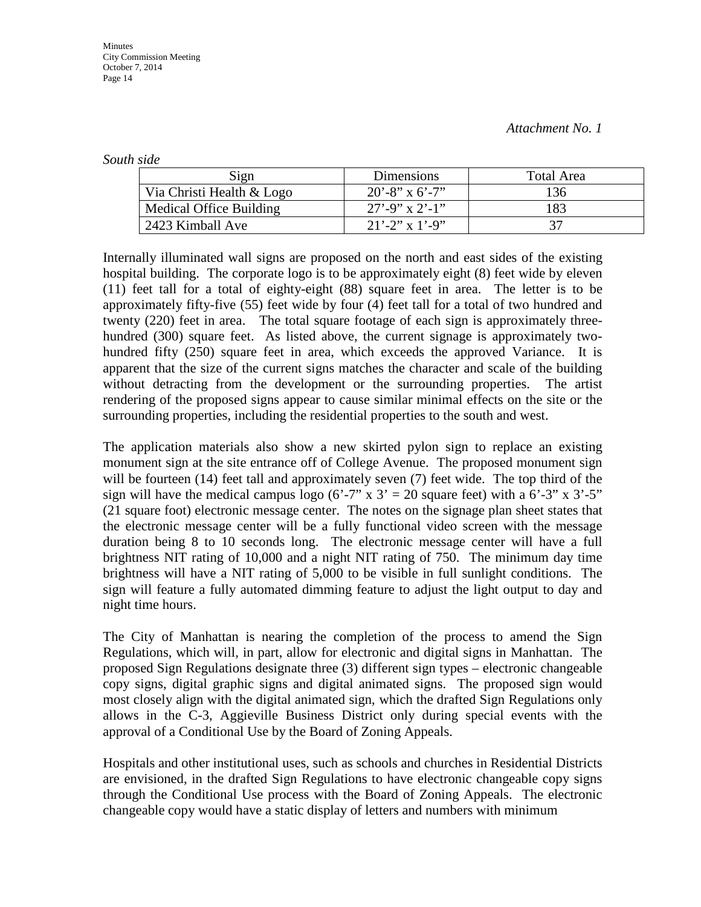*South side*

| Sign                      | Dimensions          | Total Area |
|---------------------------|---------------------|------------|
| Via Christi Health & Logo | $20' - 8''$ x 6'-7" | 136        |
| Medical Office Building   | $27' - 9''$ x 2'-1" | 183        |
| 2423 Kimball Ave          | $21'$ -2" x 1'-9"   |            |

Internally illuminated wall signs are proposed on the north and east sides of the existing hospital building. The corporate logo is to be approximately eight (8) feet wide by eleven (11) feet tall for a total of eighty-eight (88) square feet in area. The letter is to be approximately fifty-five (55) feet wide by four (4) feet tall for a total of two hundred and twenty (220) feet in area. The total square footage of each sign is approximately threehundred (300) square feet. As listed above, the current signage is approximately twohundred fifty (250) square feet in area, which exceeds the approved Variance. It is apparent that the size of the current signs matches the character and scale of the building without detracting from the development or the surrounding properties. The artist rendering of the proposed signs appear to cause similar minimal effects on the site or the surrounding properties, including the residential properties to the south and west.

The application materials also show a new skirted pylon sign to replace an existing monument sign at the site entrance off of College Avenue. The proposed monument sign will be fourteen (14) feet tall and approximately seven (7) feet wide. The top third of the sign will have the medical campus logo (6'-7" x  $3' = 20$  square feet) with a 6'-3" x 3'-5" (21 square foot) electronic message center. The notes on the signage plan sheet states that the electronic message center will be a fully functional video screen with the message duration being 8 to 10 seconds long. The electronic message center will have a full brightness NIT rating of 10,000 and a night NIT rating of 750. The minimum day time brightness will have a NIT rating of 5,000 to be visible in full sunlight conditions. The sign will feature a fully automated dimming feature to adjust the light output to day and night time hours.

The City of Manhattan is nearing the completion of the process to amend the Sign Regulations, which will, in part, allow for electronic and digital signs in Manhattan. The proposed Sign Regulations designate three (3) different sign types – electronic changeable copy signs, digital graphic signs and digital animated signs. The proposed sign would most closely align with the digital animated sign, which the drafted Sign Regulations only allows in the C-3, Aggieville Business District only during special events with the approval of a Conditional Use by the Board of Zoning Appeals.

Hospitals and other institutional uses, such as schools and churches in Residential Districts are envisioned, in the drafted Sign Regulations to have electronic changeable copy signs through the Conditional Use process with the Board of Zoning Appeals. The electronic changeable copy would have a static display of letters and numbers with minimum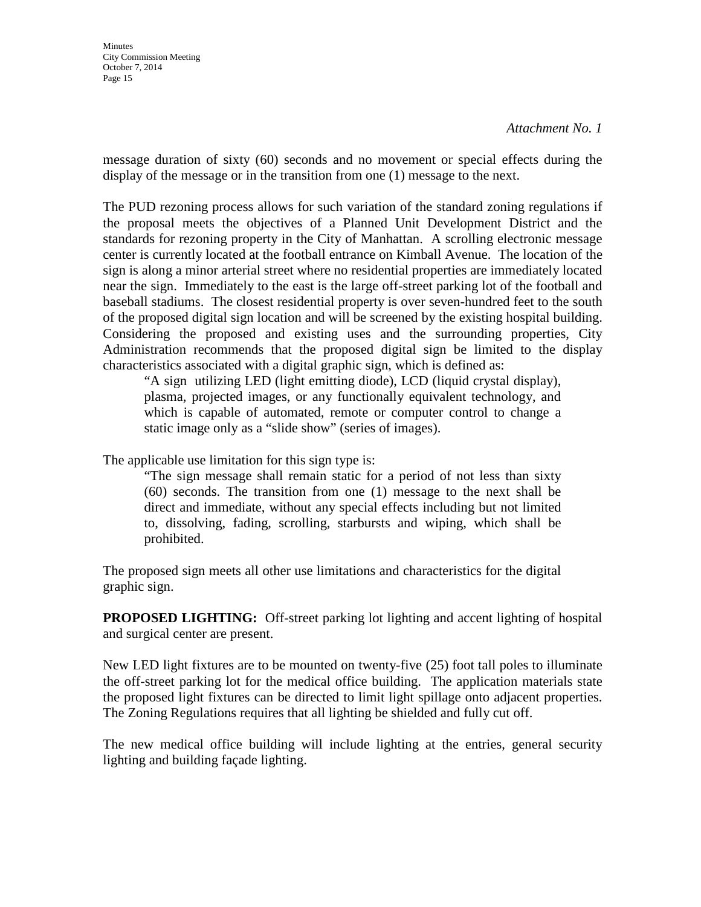message duration of sixty (60) seconds and no movement or special effects during the display of the message or in the transition from one (1) message to the next.

The PUD rezoning process allows for such variation of the standard zoning regulations if the proposal meets the objectives of a Planned Unit Development District and the standards for rezoning property in the City of Manhattan. A scrolling electronic message center is currently located at the football entrance on Kimball Avenue. The location of the sign is along a minor arterial street where no residential properties are immediately located near the sign. Immediately to the east is the large off-street parking lot of the football and baseball stadiums. The closest residential property is over seven-hundred feet to the south of the proposed digital sign location and will be screened by the existing hospital building. Considering the proposed and existing uses and the surrounding properties, City Administration recommends that the proposed digital sign be limited to the display characteristics associated with a digital graphic sign, which is defined as:

"A sign utilizing LED (light emitting diode), LCD (liquid crystal display), plasma, projected images, or any functionally equivalent technology, and which is capable of automated, remote or computer control to change a static image only as a "slide show" (series of images).

The applicable use limitation for this sign type is:

"The sign message shall remain static for a period of not less than sixty (60) seconds. The transition from one (1) message to the next shall be direct and immediate, without any special effects including but not limited to, dissolving, fading, scrolling, starbursts and wiping, which shall be prohibited.

The proposed sign meets all other use limitations and characteristics for the digital graphic sign.

**PROPOSED LIGHTING:** Off-street parking lot lighting and accent lighting of hospital and surgical center are present.

New LED light fixtures are to be mounted on twenty-five (25) foot tall poles to illuminate the off-street parking lot for the medical office building. The application materials state the proposed light fixtures can be directed to limit light spillage onto adjacent properties. The Zoning Regulations requires that all lighting be shielded and fully cut off.

The new medical office building will include lighting at the entries, general security lighting and building façade lighting.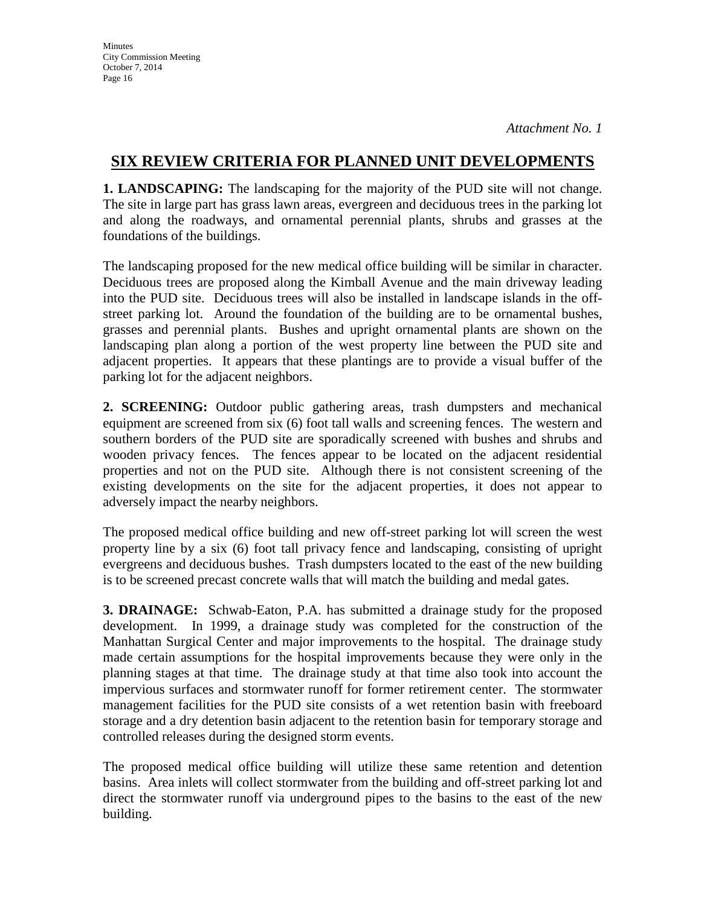## **SIX REVIEW CRITERIA FOR PLANNED UNIT DEVELOPMENTS**

**1. LANDSCAPING:** The landscaping for the majority of the PUD site will not change. The site in large part has grass lawn areas, evergreen and deciduous trees in the parking lot and along the roadways, and ornamental perennial plants, shrubs and grasses at the foundations of the buildings.

The landscaping proposed for the new medical office building will be similar in character. Deciduous trees are proposed along the Kimball Avenue and the main driveway leading into the PUD site. Deciduous trees will also be installed in landscape islands in the offstreet parking lot. Around the foundation of the building are to be ornamental bushes, grasses and perennial plants. Bushes and upright ornamental plants are shown on the landscaping plan along a portion of the west property line between the PUD site and adjacent properties. It appears that these plantings are to provide a visual buffer of the parking lot for the adjacent neighbors.

**2. SCREENING:** Outdoor public gathering areas, trash dumpsters and mechanical equipment are screened from six (6) foot tall walls and screening fences. The western and southern borders of the PUD site are sporadically screened with bushes and shrubs and wooden privacy fences. The fences appear to be located on the adjacent residential properties and not on the PUD site. Although there is not consistent screening of the existing developments on the site for the adjacent properties, it does not appear to adversely impact the nearby neighbors.

The proposed medical office building and new off-street parking lot will screen the west property line by a six (6) foot tall privacy fence and landscaping, consisting of upright evergreens and deciduous bushes. Trash dumpsters located to the east of the new building is to be screened precast concrete walls that will match the building and medal gates.

**3. DRAINAGE:** Schwab-Eaton, P.A. has submitted a drainage study for the proposed development. In 1999, a drainage study was completed for the construction of the Manhattan Surgical Center and major improvements to the hospital. The drainage study made certain assumptions for the hospital improvements because they were only in the planning stages at that time. The drainage study at that time also took into account the impervious surfaces and stormwater runoff for former retirement center. The stormwater management facilities for the PUD site consists of a wet retention basin with freeboard storage and a dry detention basin adjacent to the retention basin for temporary storage and controlled releases during the designed storm events.

The proposed medical office building will utilize these same retention and detention basins. Area inlets will collect stormwater from the building and off-street parking lot and direct the stormwater runoff via underground pipes to the basins to the east of the new building.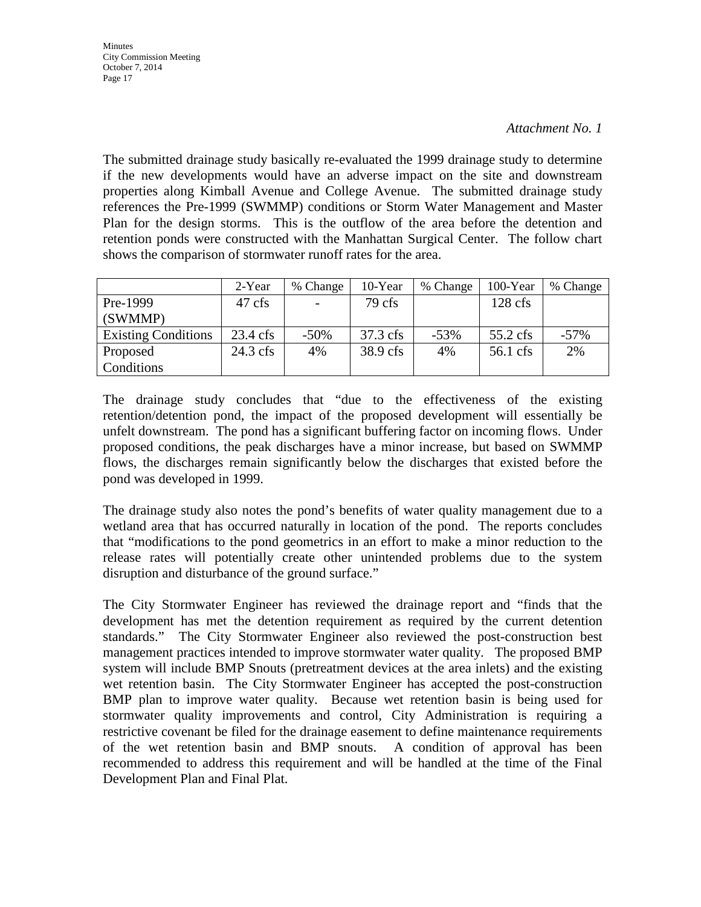The submitted drainage study basically re-evaluated the 1999 drainage study to determine if the new developments would have an adverse impact on the site and downstream properties along Kimball Avenue and College Avenue. The submitted drainage study references the Pre-1999 (SWMMP) conditions or Storm Water Management and Master Plan for the design storms. This is the outflow of the area before the detention and retention ponds were constructed with the Manhattan Surgical Center. The follow chart shows the comparison of stormwater runoff rates for the area.

|                            | 2-Year             | % Change | 10-Year  | % Change | 100-Year   | % Change |
|----------------------------|--------------------|----------|----------|----------|------------|----------|
| Pre-1999                   | 47 cfs             |          | 79 cfs   |          | $128$ cfs  |          |
| (SWMMP)                    |                    |          |          |          |            |          |
| <b>Existing Conditions</b> | $23.4 \text{ cfs}$ | $-50\%$  | 37.3 cfs | $-53%$   | $55.2$ cfs | $-57\%$  |
| Proposed                   | $24.3$ cfs         | 4%       | 38.9 cfs | 4%       | 56.1 cfs   | 2%       |
| Conditions                 |                    |          |          |          |            |          |

The drainage study concludes that "due to the effectiveness of the existing retention/detention pond, the impact of the proposed development will essentially be unfelt downstream. The pond has a significant buffering factor on incoming flows. Under proposed conditions, the peak discharges have a minor increase, but based on SWMMP flows, the discharges remain significantly below the discharges that existed before the pond was developed in 1999.

The drainage study also notes the pond's benefits of water quality management due to a wetland area that has occurred naturally in location of the pond. The reports concludes that "modifications to the pond geometrics in an effort to make a minor reduction to the release rates will potentially create other unintended problems due to the system disruption and disturbance of the ground surface."

The City Stormwater Engineer has reviewed the drainage report and "finds that the development has met the detention requirement as required by the current detention standards." The City Stormwater Engineer also reviewed the post-construction best management practices intended to improve stormwater water quality. The proposed BMP system will include BMP Snouts (pretreatment devices at the area inlets) and the existing wet retention basin. The City Stormwater Engineer has accepted the post-construction BMP plan to improve water quality. Because wet retention basin is being used for stormwater quality improvements and control, City Administration is requiring a restrictive covenant be filed for the drainage easement to define maintenance requirements of the wet retention basin and BMP snouts. A condition of approval has been recommended to address this requirement and will be handled at the time of the Final Development Plan and Final Plat.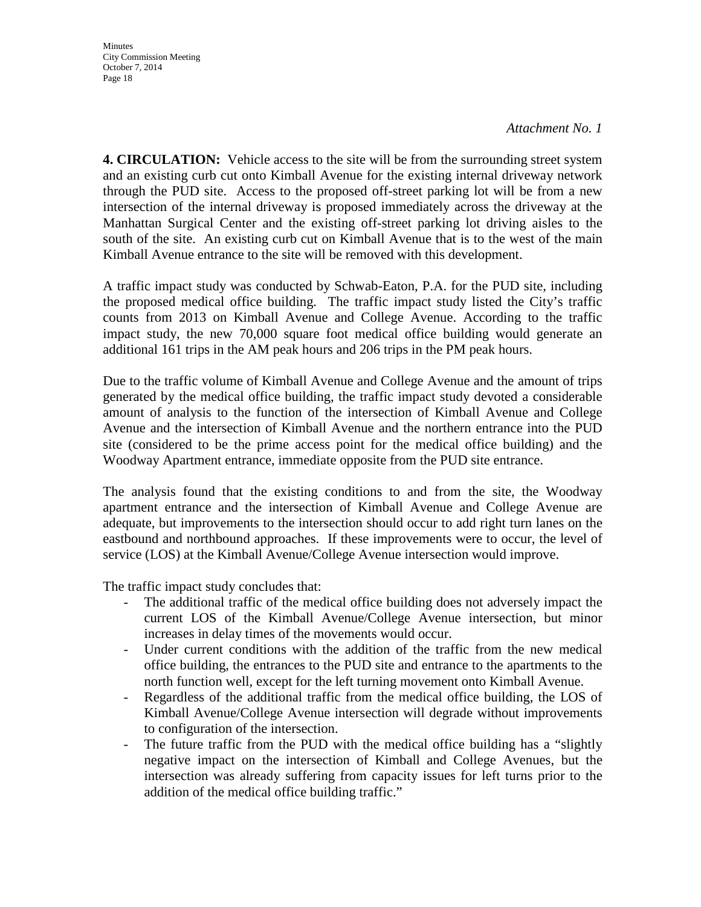*Attachment No. 1*

**4. CIRCULATION:** Vehicle access to the site will be from the surrounding street system and an existing curb cut onto Kimball Avenue for the existing internal driveway network through the PUD site. Access to the proposed off-street parking lot will be from a new intersection of the internal driveway is proposed immediately across the driveway at the Manhattan Surgical Center and the existing off-street parking lot driving aisles to the south of the site. An existing curb cut on Kimball Avenue that is to the west of the main Kimball Avenue entrance to the site will be removed with this development.

A traffic impact study was conducted by Schwab-Eaton, P.A. for the PUD site, including the proposed medical office building. The traffic impact study listed the City's traffic counts from 2013 on Kimball Avenue and College Avenue. According to the traffic impact study, the new 70,000 square foot medical office building would generate an additional 161 trips in the AM peak hours and 206 trips in the PM peak hours.

Due to the traffic volume of Kimball Avenue and College Avenue and the amount of trips generated by the medical office building, the traffic impact study devoted a considerable amount of analysis to the function of the intersection of Kimball Avenue and College Avenue and the intersection of Kimball Avenue and the northern entrance into the PUD site (considered to be the prime access point for the medical office building) and the Woodway Apartment entrance, immediate opposite from the PUD site entrance.

The analysis found that the existing conditions to and from the site, the Woodway apartment entrance and the intersection of Kimball Avenue and College Avenue are adequate, but improvements to the intersection should occur to add right turn lanes on the eastbound and northbound approaches. If these improvements were to occur, the level of service (LOS) at the Kimball Avenue/College Avenue intersection would improve.

The traffic impact study concludes that:

- The additional traffic of the medical office building does not adversely impact the current LOS of the Kimball Avenue/College Avenue intersection, but minor increases in delay times of the movements would occur.
- Under current conditions with the addition of the traffic from the new medical office building, the entrances to the PUD site and entrance to the apartments to the north function well, except for the left turning movement onto Kimball Avenue.
- Regardless of the additional traffic from the medical office building, the LOS of Kimball Avenue/College Avenue intersection will degrade without improvements to configuration of the intersection.
- The future traffic from the PUD with the medical office building has a "slightly negative impact on the intersection of Kimball and College Avenues, but the intersection was already suffering from capacity issues for left turns prior to the addition of the medical office building traffic."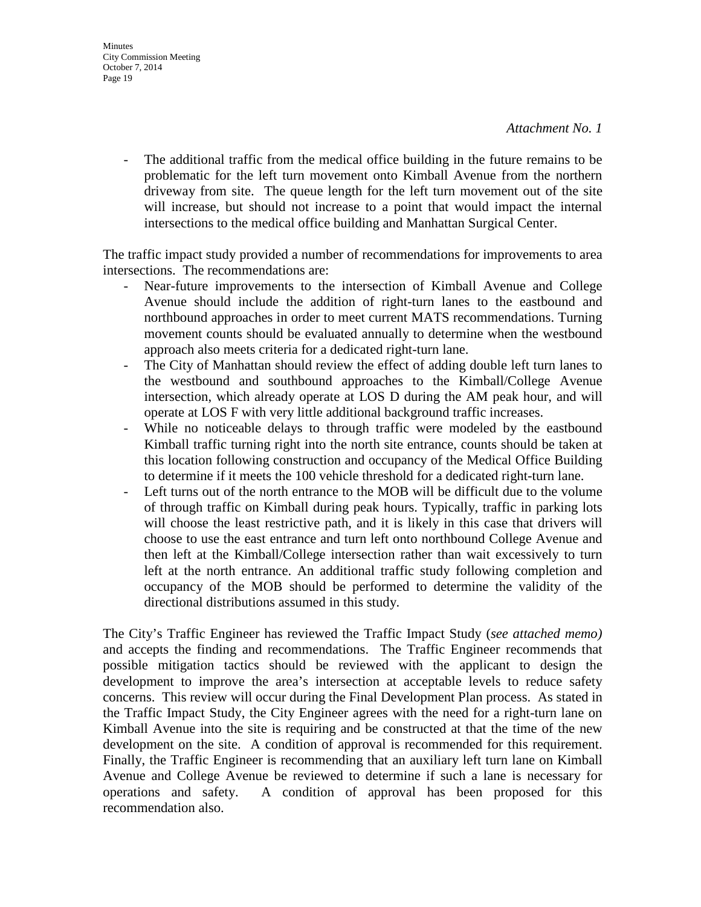- The additional traffic from the medical office building in the future remains to be problematic for the left turn movement onto Kimball Avenue from the northern driveway from site. The queue length for the left turn movement out of the site will increase, but should not increase to a point that would impact the internal intersections to the medical office building and Manhattan Surgical Center.

The traffic impact study provided a number of recommendations for improvements to area intersections. The recommendations are:

- Near-future improvements to the intersection of Kimball Avenue and College Avenue should include the addition of right-turn lanes to the eastbound and northbound approaches in order to meet current MATS recommendations. Turning movement counts should be evaluated annually to determine when the westbound approach also meets criteria for a dedicated right-turn lane.
- The City of Manhattan should review the effect of adding double left turn lanes to the westbound and southbound approaches to the Kimball/College Avenue intersection, which already operate at LOS D during the AM peak hour, and will operate at LOS F with very little additional background traffic increases.
- While no noticeable delays to through traffic were modeled by the eastbound Kimball traffic turning right into the north site entrance, counts should be taken at this location following construction and occupancy of the Medical Office Building to determine if it meets the 100 vehicle threshold for a dedicated right-turn lane.
- Left turns out of the north entrance to the MOB will be difficult due to the volume of through traffic on Kimball during peak hours. Typically, traffic in parking lots will choose the least restrictive path, and it is likely in this case that drivers will choose to use the east entrance and turn left onto northbound College Avenue and then left at the Kimball/College intersection rather than wait excessively to turn left at the north entrance. An additional traffic study following completion and occupancy of the MOB should be performed to determine the validity of the directional distributions assumed in this study.

The City's Traffic Engineer has reviewed the Traffic Impact Study (*see attached memo)*  and accepts the finding and recommendations. The Traffic Engineer recommends that possible mitigation tactics should be reviewed with the applicant to design the development to improve the area's intersection at acceptable levels to reduce safety concerns. This review will occur during the Final Development Plan process. As stated in the Traffic Impact Study, the City Engineer agrees with the need for a right-turn lane on Kimball Avenue into the site is requiring and be constructed at that the time of the new development on the site. A condition of approval is recommended for this requirement. Finally, the Traffic Engineer is recommending that an auxiliary left turn lane on Kimball Avenue and College Avenue be reviewed to determine if such a lane is necessary for operations and safety. A condition of approval has been proposed for this recommendation also.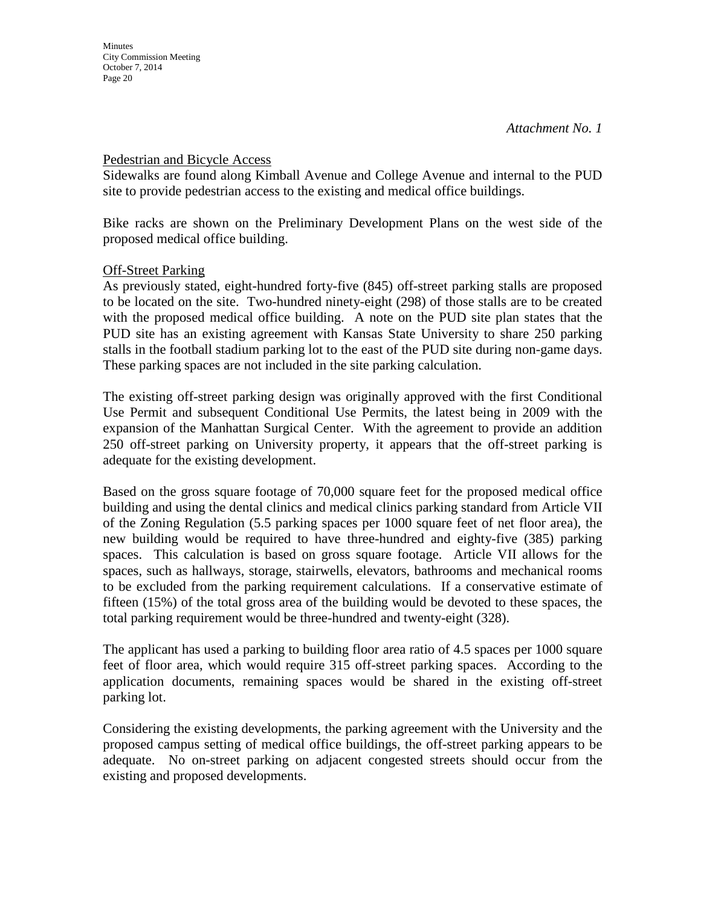### Pedestrian and Bicycle Access

Sidewalks are found along Kimball Avenue and College Avenue and internal to the PUD site to provide pedestrian access to the existing and medical office buildings.

Bike racks are shown on the Preliminary Development Plans on the west side of the proposed medical office building.

### **Off-Street Parking**

As previously stated, eight-hundred forty-five (845) off-street parking stalls are proposed to be located on the site. Two-hundred ninety-eight (298) of those stalls are to be created with the proposed medical office building. A note on the PUD site plan states that the PUD site has an existing agreement with Kansas State University to share 250 parking stalls in the football stadium parking lot to the east of the PUD site during non-game days. These parking spaces are not included in the site parking calculation.

The existing off-street parking design was originally approved with the first Conditional Use Permit and subsequent Conditional Use Permits, the latest being in 2009 with the expansion of the Manhattan Surgical Center. With the agreement to provide an addition 250 off-street parking on University property, it appears that the off-street parking is adequate for the existing development.

Based on the gross square footage of 70,000 square feet for the proposed medical office building and using the dental clinics and medical clinics parking standard from Article VII of the Zoning Regulation (5.5 parking spaces per 1000 square feet of net floor area), the new building would be required to have three-hundred and eighty-five (385) parking spaces. This calculation is based on gross square footage. Article VII allows for the spaces, such as hallways, storage, stairwells, elevators, bathrooms and mechanical rooms to be excluded from the parking requirement calculations. If a conservative estimate of fifteen (15%) of the total gross area of the building would be devoted to these spaces, the total parking requirement would be three-hundred and twenty-eight (328).

The applicant has used a parking to building floor area ratio of 4.5 spaces per 1000 square feet of floor area, which would require 315 off-street parking spaces. According to the application documents, remaining spaces would be shared in the existing off-street parking lot.

Considering the existing developments, the parking agreement with the University and the proposed campus setting of medical office buildings, the off-street parking appears to be adequate. No on-street parking on adjacent congested streets should occur from the existing and proposed developments.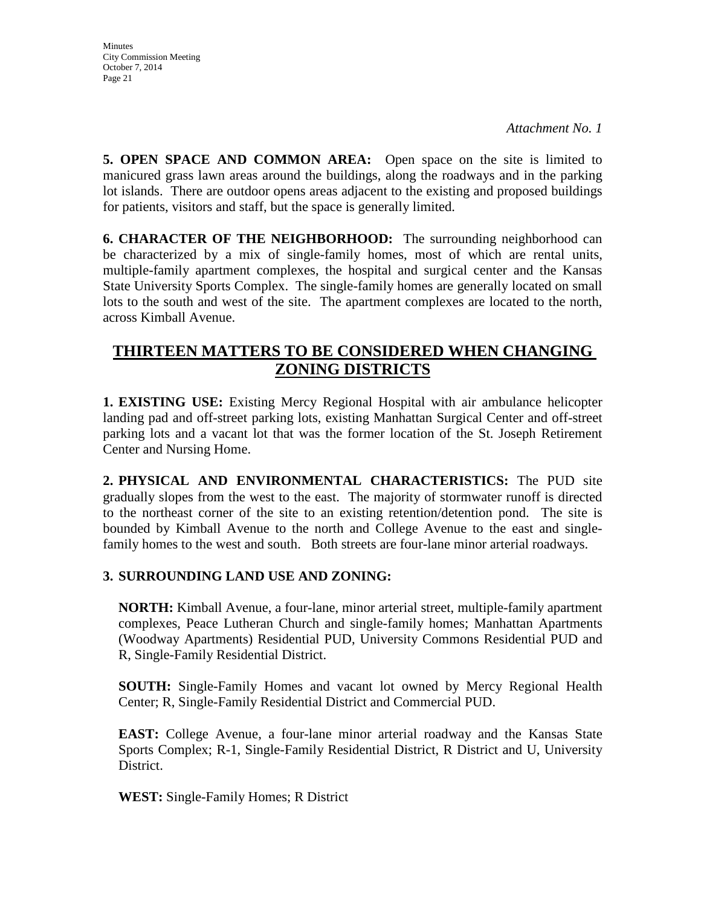**5. OPEN SPACE AND COMMON AREA:** Open space on the site is limited to manicured grass lawn areas around the buildings, along the roadways and in the parking lot islands. There are outdoor opens areas adjacent to the existing and proposed buildings for patients, visitors and staff, but the space is generally limited.

**6. CHARACTER OF THE NEIGHBORHOOD:** The surrounding neighborhood can be characterized by a mix of single-family homes, most of which are rental units, multiple-family apartment complexes, the hospital and surgical center and the Kansas State University Sports Complex. The single-family homes are generally located on small lots to the south and west of the site. The apartment complexes are located to the north, across Kimball Avenue.

## **THIRTEEN MATTERS TO BE CONSIDERED WHEN CHANGING ZONING DISTRICTS**

**1. EXISTING USE:** Existing Mercy Regional Hospital with air ambulance helicopter landing pad and off-street parking lots, existing Manhattan Surgical Center and off-street parking lots and a vacant lot that was the former location of the St. Joseph Retirement Center and Nursing Home.

**2. PHYSICAL AND ENVIRONMENTAL CHARACTERISTICS:** The PUD site gradually slopes from the west to the east. The majority of stormwater runoff is directed to the northeast corner of the site to an existing retention/detention pond. The site is bounded by Kimball Avenue to the north and College Avenue to the east and singlefamily homes to the west and south. Both streets are four-lane minor arterial roadways.

### **3. SURROUNDING LAND USE AND ZONING:**

**NORTH:** Kimball Avenue, a four-lane, minor arterial street, multiple-family apartment complexes, Peace Lutheran Church and single-family homes; Manhattan Apartments (Woodway Apartments) Residential PUD, University Commons Residential PUD and R, Single-Family Residential District.

**SOUTH:** Single-Family Homes and vacant lot owned by Mercy Regional Health Center; R, Single-Family Residential District and Commercial PUD.

**EAST:** College Avenue, a four-lane minor arterial roadway and the Kansas State Sports Complex; R-1, Single-Family Residential District, R District and U, University District.

**WEST:** Single-Family Homes; R District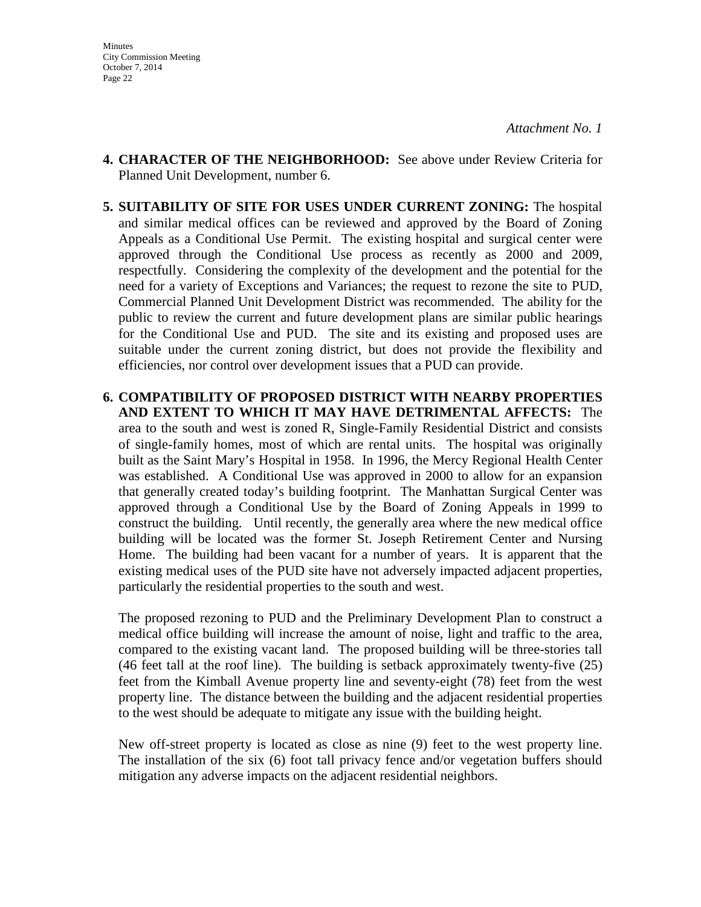- **4. CHARACTER OF THE NEIGHBORHOOD:** See above under Review Criteria for Planned Unit Development, number 6.
- **5. SUITABILITY OF SITE FOR USES UNDER CURRENT ZONING:** The hospital and similar medical offices can be reviewed and approved by the Board of Zoning Appeals as a Conditional Use Permit. The existing hospital and surgical center were approved through the Conditional Use process as recently as 2000 and 2009, respectfully. Considering the complexity of the development and the potential for the need for a variety of Exceptions and Variances; the request to rezone the site to PUD, Commercial Planned Unit Development District was recommended. The ability for the public to review the current and future development plans are similar public hearings for the Conditional Use and PUD. The site and its existing and proposed uses are suitable under the current zoning district, but does not provide the flexibility and efficiencies, nor control over development issues that a PUD can provide.
- **6. COMPATIBILITY OF PROPOSED DISTRICT WITH NEARBY PROPERTIES AND EXTENT TO WHICH IT MAY HAVE DETRIMENTAL AFFECTS:** The area to the south and west is zoned R, Single-Family Residential District and consists of single-family homes, most of which are rental units. The hospital was originally built as the Saint Mary's Hospital in 1958. In 1996, the Mercy Regional Health Center was established. A Conditional Use was approved in 2000 to allow for an expansion that generally created today's building footprint. The Manhattan Surgical Center was approved through a Conditional Use by the Board of Zoning Appeals in 1999 to construct the building. Until recently, the generally area where the new medical office building will be located was the former St. Joseph Retirement Center and Nursing Home. The building had been vacant for a number of years. It is apparent that the existing medical uses of the PUD site have not adversely impacted adjacent properties, particularly the residential properties to the south and west.

The proposed rezoning to PUD and the Preliminary Development Plan to construct a medical office building will increase the amount of noise, light and traffic to the area, compared to the existing vacant land. The proposed building will be three-stories tall (46 feet tall at the roof line). The building is setback approximately twenty-five (25) feet from the Kimball Avenue property line and seventy-eight (78) feet from the west property line. The distance between the building and the adjacent residential properties to the west should be adequate to mitigate any issue with the building height.

New off-street property is located as close as nine (9) feet to the west property line. The installation of the six (6) foot tall privacy fence and/or vegetation buffers should mitigation any adverse impacts on the adjacent residential neighbors.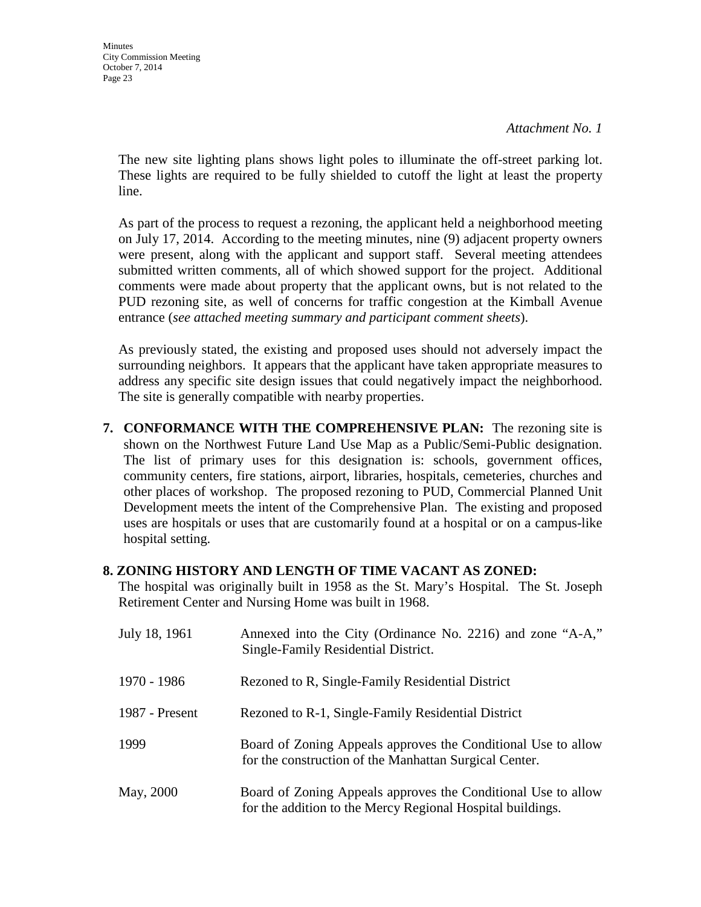*Attachment No. 1*

The new site lighting plans shows light poles to illuminate the off-street parking lot. These lights are required to be fully shielded to cutoff the light at least the property line.

As part of the process to request a rezoning, the applicant held a neighborhood meeting on July 17, 2014. According to the meeting minutes, nine (9) adjacent property owners were present, along with the applicant and support staff. Several meeting attendees submitted written comments, all of which showed support for the project. Additional comments were made about property that the applicant owns, but is not related to the PUD rezoning site, as well of concerns for traffic congestion at the Kimball Avenue entrance (*see attached meeting summary and participant comment sheets*).

As previously stated, the existing and proposed uses should not adversely impact the surrounding neighbors. It appears that the applicant have taken appropriate measures to address any specific site design issues that could negatively impact the neighborhood. The site is generally compatible with nearby properties.

**7. CONFORMANCE WITH THE COMPREHENSIVE PLAN:** The rezoning site is shown on the Northwest Future Land Use Map as a Public/Semi-Public designation. The list of primary uses for this designation is: schools, government offices, community centers, fire stations, airport, libraries, hospitals, cemeteries, churches and other places of workshop. The proposed rezoning to PUD, Commercial Planned Unit Development meets the intent of the Comprehensive Plan. The existing and proposed uses are hospitals or uses that are customarily found at a hospital or on a campus-like hospital setting.

#### **8. ZONING HISTORY AND LENGTH OF TIME VACANT AS ZONED:**

The hospital was originally built in 1958 as the St. Mary's Hospital. The St. Joseph Retirement Center and Nursing Home was built in 1968.

| July 18, 1961  | Annexed into the City (Ordinance No. 2216) and zone "A-A,"<br>Single-Family Residential District.                           |
|----------------|-----------------------------------------------------------------------------------------------------------------------------|
| 1970 - 1986    | Rezoned to R, Single-Family Residential District                                                                            |
| 1987 - Present | Rezoned to R-1, Single-Family Residential District                                                                          |
| 1999           | Board of Zoning Appeals approves the Conditional Use to allow<br>for the construction of the Manhattan Surgical Center.     |
| May, 2000      | Board of Zoning Appeals approves the Conditional Use to allow<br>for the addition to the Mercy Regional Hospital buildings. |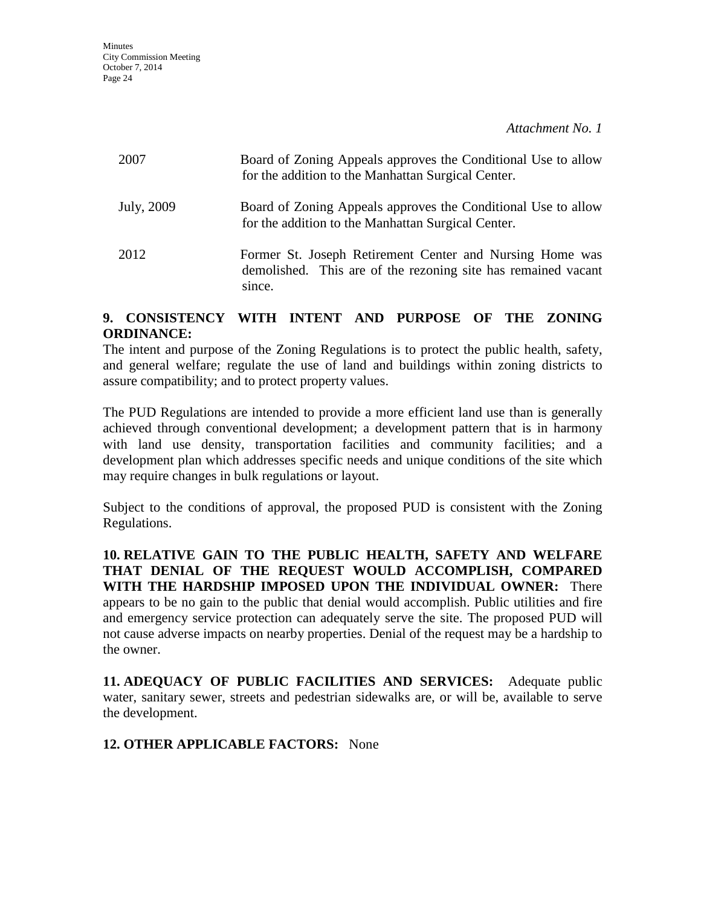| 2007       | Board of Zoning Appeals approves the Conditional Use to allow<br>for the addition to the Manhattan Surgical Center.                 |
|------------|-------------------------------------------------------------------------------------------------------------------------------------|
| July, 2009 | Board of Zoning Appeals approves the Conditional Use to allow<br>for the addition to the Manhattan Surgical Center.                 |
| 2012       | Former St. Joseph Retirement Center and Nursing Home was<br>demolished. This are of the rezoning site has remained vacant<br>since. |

### **9. CONSISTENCY WITH INTENT AND PURPOSE OF THE ZONING ORDINANCE:**

The intent and purpose of the Zoning Regulations is to protect the public health, safety, and general welfare; regulate the use of land and buildings within zoning districts to assure compatibility; and to protect property values.

The PUD Regulations are intended to provide a more efficient land use than is generally achieved through conventional development; a development pattern that is in harmony with land use density, transportation facilities and community facilities; and a development plan which addresses specific needs and unique conditions of the site which may require changes in bulk regulations or layout.

Subject to the conditions of approval, the proposed PUD is consistent with the Zoning Regulations.

**10. RELATIVE GAIN TO THE PUBLIC HEALTH, SAFETY AND WELFARE THAT DENIAL OF THE REQUEST WOULD ACCOMPLISH, COMPARED WITH THE HARDSHIP IMPOSED UPON THE INDIVIDUAL OWNER:** There appears to be no gain to the public that denial would accomplish. Public utilities and fire and emergency service protection can adequately serve the site. The proposed PUD will not cause adverse impacts on nearby properties. Denial of the request may be a hardship to the owner.

**11. ADEQUACY OF PUBLIC FACILITIES AND SERVICES:** Adequate public water, sanitary sewer, streets and pedestrian sidewalks are, or will be, available to serve the development.

### **12. OTHER APPLICABLE FACTORS:** None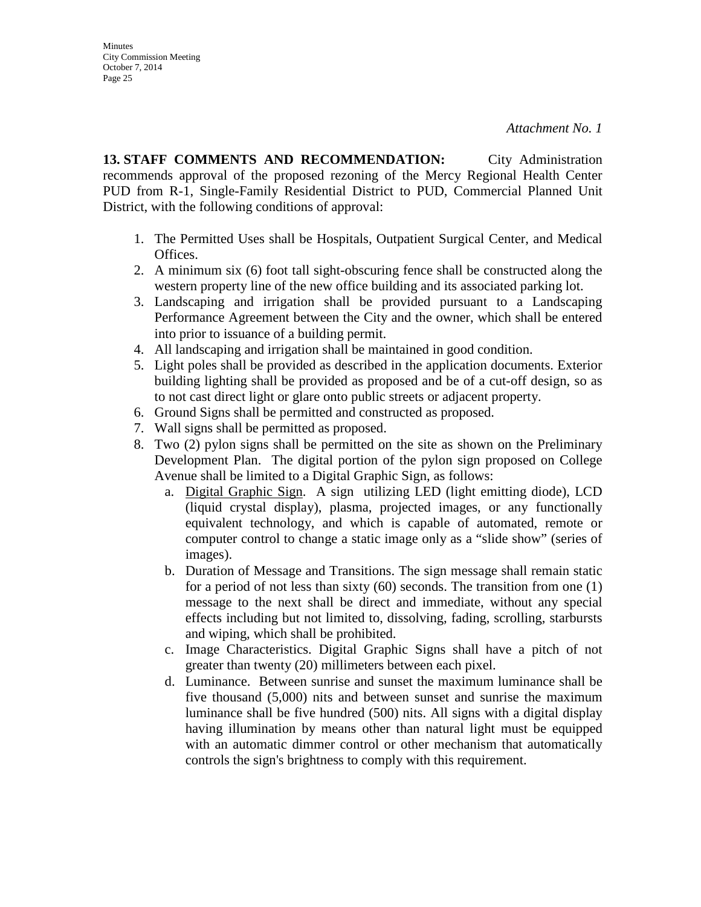**Minutes** City Commission Meeting October 7, 2014 Page 25

**13. STAFF COMMENTS AND RECOMMENDATION:** City Administration recommends approval of the proposed rezoning of the Mercy Regional Health Center PUD from R-1, Single-Family Residential District to PUD, Commercial Planned Unit District, with the following conditions of approval:

- 1. The Permitted Uses shall be Hospitals, Outpatient Surgical Center, and Medical Offices.
- 2. A minimum six (6) foot tall sight-obscuring fence shall be constructed along the western property line of the new office building and its associated parking lot.
- 3. Landscaping and irrigation shall be provided pursuant to a Landscaping Performance Agreement between the City and the owner, which shall be entered into prior to issuance of a building permit.
- 4. All landscaping and irrigation shall be maintained in good condition.
- 5. Light poles shall be provided as described in the application documents. Exterior building lighting shall be provided as proposed and be of a cut-off design, so as to not cast direct light or glare onto public streets or adjacent property.
- 6. Ground Signs shall be permitted and constructed as proposed.
- 7. Wall signs shall be permitted as proposed.
- 8. Two (2) pylon signs shall be permitted on the site as shown on the Preliminary Development Plan. The digital portion of the pylon sign proposed on College Avenue shall be limited to a Digital Graphic Sign, as follows:
	- a. Digital Graphic Sign. A sign utilizing LED (light emitting diode), LCD (liquid crystal display), plasma, projected images, or any functionally equivalent technology, and which is capable of automated, remote or computer control to change a static image only as a "slide show" (series of images).
	- b. Duration of Message and Transitions. The sign message shall remain static for a period of not less than sixty (60) seconds. The transition from one (1) message to the next shall be direct and immediate, without any special effects including but not limited to, dissolving, fading, scrolling, starbursts and wiping, which shall be prohibited.
	- c. Image Characteristics. Digital Graphic Signs shall have a pitch of not greater than twenty (20) millimeters between each pixel.
	- d. Luminance. Between sunrise and sunset the maximum luminance shall be five thousand (5,000) nits and between sunset and sunrise the maximum luminance shall be five hundred (500) nits. All signs with a digital display having illumination by means other than natural light must be equipped with an automatic dimmer control or other mechanism that automatically controls the sign's brightness to comply with this requirement.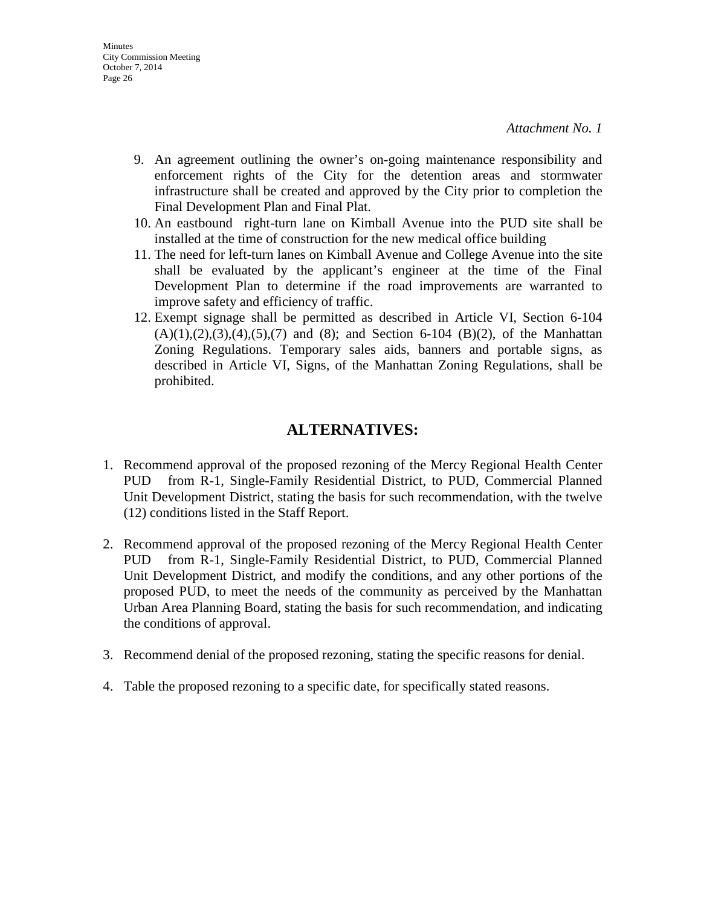- 9. An agreement outlining the owner's on-going maintenance responsibility and enforcement rights of the City for the detention areas and stormwater infrastructure shall be created and approved by the City prior to completion the Final Development Plan and Final Plat.
- 10. An eastbound right-turn lane on Kimball Avenue into the PUD site shall be installed at the time of construction for the new medical office building
- 11. The need for left-turn lanes on Kimball Avenue and College Avenue into the site shall be evaluated by the applicant's engineer at the time of the Final Development Plan to determine if the road improvements are warranted to improve safety and efficiency of traffic.
- 12. Exempt signage shall be permitted as described in Article VI, Section 6-104  $(A)(1), (2), (3), (4), (5), (7)$  and  $(8)$ ; and Section 6-104 (B)(2), of the Manhattan Zoning Regulations. Temporary sales aids, banners and portable signs, as described in Article VI, Signs, of the Manhattan Zoning Regulations, shall be prohibited.

### **ALTERNATIVES:**

- 1. Recommend approval of the proposed rezoning of the Mercy Regional Health Center PUD from R-1, Single-Family Residential District, to PUD, Commercial Planned Unit Development District, stating the basis for such recommendation, with the twelve (12) conditions listed in the Staff Report.
- 2. Recommend approval of the proposed rezoning of the Mercy Regional Health Center PUD from R-1, Single-Family Residential District, to PUD, Commercial Planned Unit Development District, and modify the conditions, and any other portions of the proposed PUD, to meet the needs of the community as perceived by the Manhattan Urban Area Planning Board, stating the basis for such recommendation, and indicating the conditions of approval.
- 3. Recommend denial of the proposed rezoning, stating the specific reasons for denial.
- 4. Table the proposed rezoning to a specific date, for specifically stated reasons.